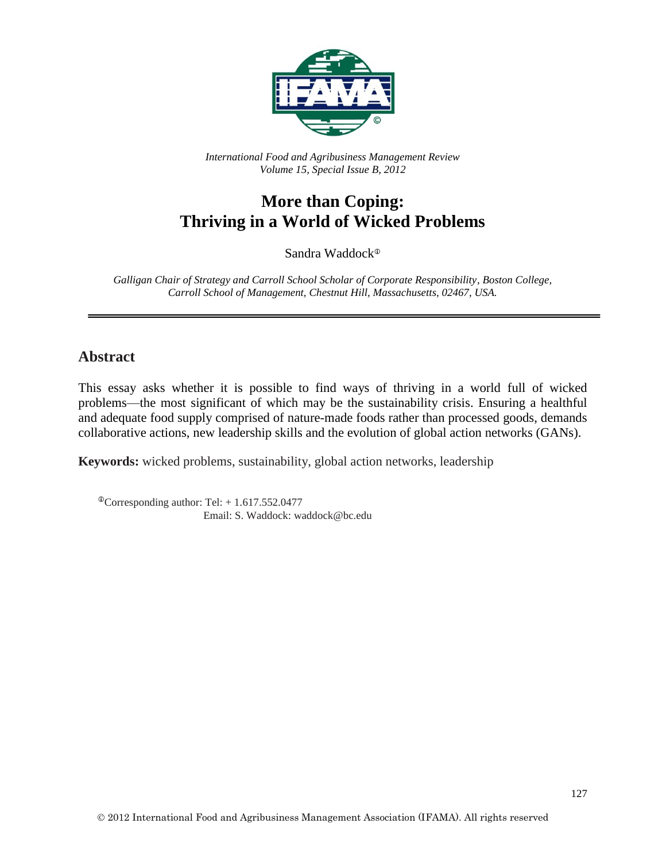

*International Food and Agribusiness Management Review Volume 15, Special Issue B, 2012*

## **More than Coping: Thriving in a World of Wicked Problems**

Sandra Waddock

*Galligan Chair of Strategy and Carroll School Scholar of Corporate Responsibility, Boston College, Carroll School of Management, Chestnut Hill, Massachusetts, 02467, USA.*

## **Abstract**

This essay asks whether it is possible to find ways of thriving in a world full of wicked problems—the most significant of which may be the sustainability crisis. Ensuring a healthful and adequate food supply comprised of nature-made foods rather than processed goods, demands collaborative actions, new leadership skills and the evolution of global action networks (GANs).

**Keywords:** wicked problems, sustainability, global action networks, leadership

 $^{\circ}$ Corresponding author: Tel: + 1.617.552.0477 Email: S. Waddock: waddock@bc.edu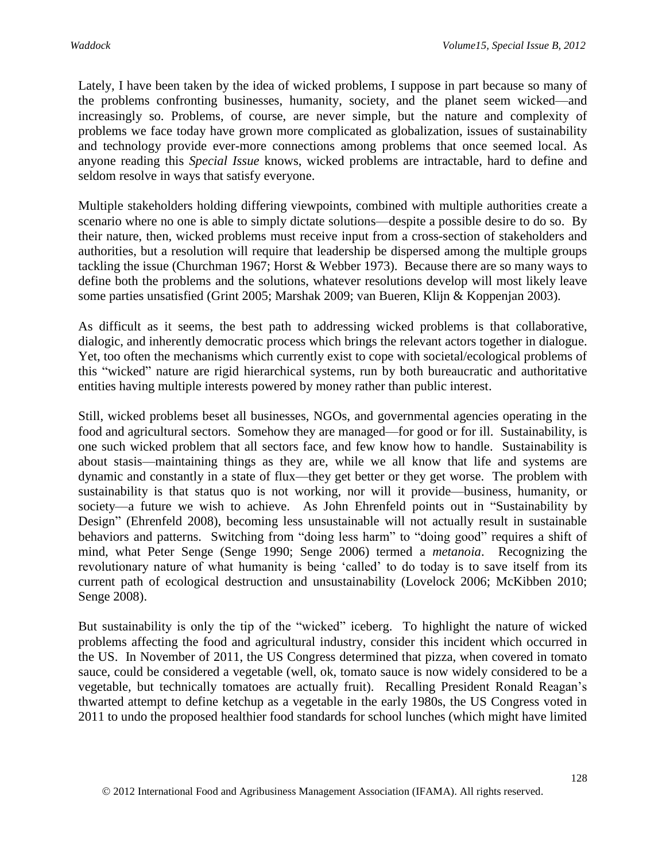Lately, I have been taken by the idea of wicked problems, I suppose in part because so many of the problems confronting businesses, humanity, society, and the planet seem wicked—and increasingly so. Problems, of course, are never simple, but the nature and complexity of problems we face today have grown more complicated as globalization, issues of sustainability and technology provide ever-more connections among problems that once seemed local. As anyone reading this *Special Issue* knows, wicked problems are intractable, hard to define and seldom resolve in ways that satisfy everyone.

Multiple stakeholders holding differing viewpoints, combined with multiple authorities create a scenario where no one is able to simply dictate solutions—despite a possible desire to do so. By their nature, then, wicked problems must receive input from a cross-section of stakeholders and authorities, but a resolution will require that leadership be dispersed among the multiple groups tackling the issue (Churchman 1967; Horst & Webber 1973). Because there are so many ways to define both the problems and the solutions, whatever resolutions develop will most likely leave some parties unsatisfied (Grint 2005; Marshak 2009; van Bueren, Klijn & Koppenjan 2003).

As difficult as it seems, the best path to addressing wicked problems is that collaborative, dialogic, and inherently democratic process which brings the relevant actors together in dialogue. Yet, too often the mechanisms which currently exist to cope with societal/ecological problems of this "wicked" nature are rigid hierarchical systems, run by both bureaucratic and authoritative entities having multiple interests powered by money rather than public interest.

Still, wicked problems beset all businesses, NGOs, and governmental agencies operating in the food and agricultural sectors. Somehow they are managed—for good or for ill. Sustainability, is one such wicked problem that all sectors face, and few know how to handle. Sustainability is about stasis—maintaining things as they are, while we all know that life and systems are dynamic and constantly in a state of flux—they get better or they get worse. The problem with sustainability is that status quo is not working, nor will it provide—business, humanity, or society—a future we wish to achieve. As John Ehrenfeld points out in "Sustainability by Design" (Ehrenfeld 2008), becoming less unsustainable will not actually result in sustainable behaviors and patterns. Switching from "doing less harm" to "doing good" requires a shift of mind, what Peter Senge (Senge 1990; Senge 2006) termed a *metanoia*. Recognizing the revolutionary nature of what humanity is being 'called' to do today is to save itself from its current path of ecological destruction and unsustainability (Lovelock 2006; McKibben 2010; Senge 2008).

But sustainability is only the tip of the "wicked" iceberg. To highlight the nature of wicked problems affecting the food and agricultural industry, consider this incident which occurred in the US. In November of 2011, the US Congress determined that pizza, when covered in tomato sauce, could be considered a vegetable (well, ok, tomato sauce is now widely considered to be a vegetable, but technically tomatoes are actually fruit). Recalling President Ronald Reagan's thwarted attempt to define ketchup as a vegetable in the early 1980s, the US Congress voted in 2011 to undo the proposed healthier food standards for school lunches (which might have limited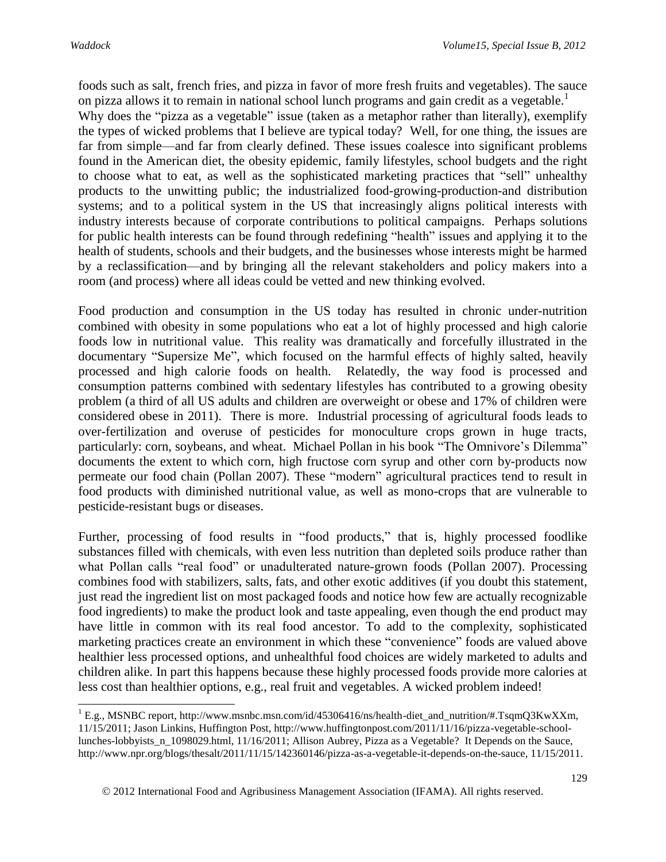$\overline{a}$ 

foods such as salt, french fries, and pizza in favor of more fresh fruits and vegetables). The sauce on pizza allows it to remain in national school lunch programs and gain credit as a vegetable.<sup>1</sup>

Why does the "pizza as a vegetable" issue (taken as a metaphor rather than literally), exemplify the types of wicked problems that I believe are typical today? Well, for one thing, the issues are far from simple—and far from clearly defined. These issues coalesce into significant problems found in the American diet, the obesity epidemic, family lifestyles, school budgets and the right to choose what to eat, as well as the sophisticated marketing practices that "sell" unhealthy products to the unwitting public; the industrialized food-growing-production-and distribution systems; and to a political system in the US that increasingly aligns political interests with industry interests because of corporate contributions to political campaigns. Perhaps solutions for public health interests can be found through redefining "health" issues and applying it to the health of students, schools and their budgets, and the businesses whose interests might be harmed by a reclassification—and by bringing all the relevant stakeholders and policy makers into a room (and process) where all ideas could be vetted and new thinking evolved.

Food production and consumption in the US today has resulted in chronic under-nutrition combined with obesity in some populations who eat a lot of highly processed and high calorie foods low in nutritional value. This reality was dramatically and forcefully illustrated in the documentary "Supersize Me", which focused on the harmful effects of highly salted, heavily processed and high calorie foods on health. Relatedly, the way food is processed and consumption patterns combined with sedentary lifestyles has contributed to a growing obesity problem (a third of all US adults and children are overweight or obese and 17% of children were considered obese in 2011). There is more. Industrial processing of agricultural foods leads to over-fertilization and overuse of pesticides for monoculture crops grown in huge tracts, particularly: corn, soybeans, and wheat. Michael Pollan in his book "The Omnivore's Dilemma" documents the extent to which corn, high fructose corn syrup and other corn by-products now permeate our food chain (Pollan 2007). These "modern" agricultural practices tend to result in food products with diminished nutritional value, as well as mono-crops that are vulnerable to pesticide-resistant bugs or diseases.

Further, processing of food results in "food products," that is, highly processed foodlike substances filled with chemicals, with even less nutrition than depleted soils produce rather than what Pollan calls "real food" or unadulterated nature-grown foods (Pollan 2007). Processing combines food with stabilizers, salts, fats, and other exotic additives (if you doubt this statement, just read the ingredient list on most packaged foods and notice how few are actually recognizable food ingredients) to make the product look and taste appealing, even though the end product may have little in common with its real food ancestor. To add to the complexity, sophisticated marketing practices create an environment in which these "convenience" foods are valued above healthier less processed options, and unhealthful food choices are widely marketed to adults and children alike. In part this happens because these highly processed foods provide more calories at less cost than healthier options, e.g., real fruit and vegetables. A wicked problem indeed!

 $1$  E.g., MSNBC report, http://www.msnbc.msn.com/id/45306416/ns/health-diet and nutrition/#.TsqmQ3KwXXm, 11/15/2011; Jason Linkins, Huffington Post, http://www.huffingtonpost.com/2011/11/16/pizza-vegetable-schoollunches-lobbyists\_n\_1098029.html, 11/16/2011; Allison Aubrey, Pizza as a Vegetable? It Depends on the Sauce, http://www.npr.org/blogs/thesalt/2011/11/15/142360146/pizza-as-a-vegetable-it-depends-on-the-sauce, 11/15/2011.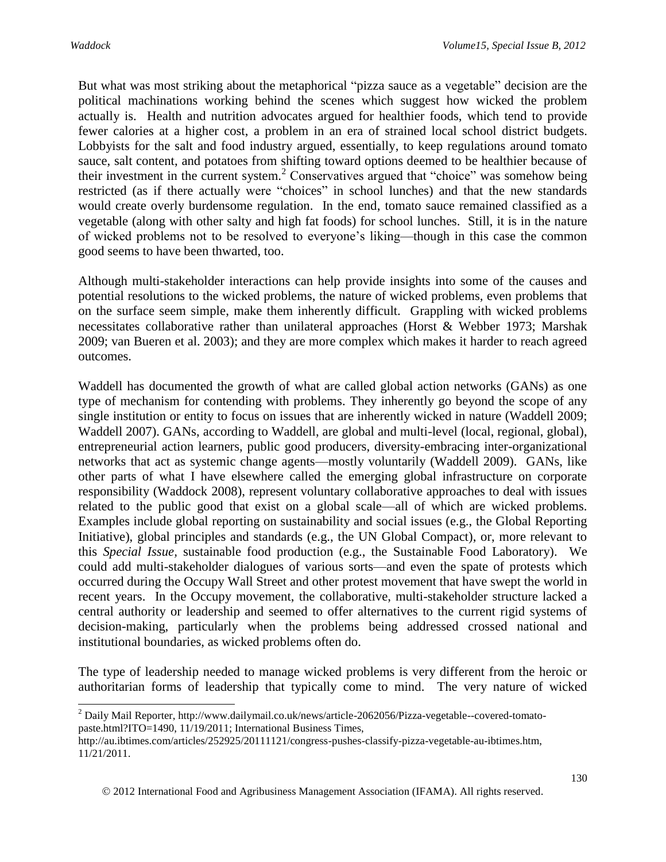$\overline{a}$ 

But what was most striking about the metaphorical "pizza sauce as a vegetable" decision are the political machinations working behind the scenes which suggest how wicked the problem actually is. Health and nutrition advocates argued for healthier foods, which tend to provide fewer calories at a higher cost, a problem in an era of strained local school district budgets. Lobbyists for the salt and food industry argued, essentially, to keep regulations around tomato sauce, salt content, and potatoes from shifting toward options deemed to be healthier because of their investment in the current system.<sup>2</sup> Conservatives argued that "choice" was somehow being restricted (as if there actually were "choices" in school lunches) and that the new standards would create overly burdensome regulation. In the end, tomato sauce remained classified as a vegetable (along with other salty and high fat foods) for school lunches. Still, it is in the nature of wicked problems not to be resolved to everyone's liking—though in this case the common good seems to have been thwarted, too.

Although multi-stakeholder interactions can help provide insights into some of the causes and potential resolutions to the wicked problems, the nature of wicked problems, even problems that on the surface seem simple, make them inherently difficult. Grappling with wicked problems necessitates collaborative rather than unilateral approaches (Horst & Webber 1973; Marshak 2009; van Bueren et al. 2003); and they are more complex which makes it harder to reach agreed outcomes.

Waddell has documented the growth of what are called global action networks (GANs) as one type of mechanism for contending with problems. They inherently go beyond the scope of any single institution or entity to focus on issues that are inherently wicked in nature (Waddell 2009; Waddell 2007). GANs, according to Waddell, are global and multi-level (local, regional, global), entrepreneurial action learners, public good producers, diversity-embracing inter-organizational networks that act as systemic change agents—mostly voluntarily (Waddell 2009). GANs, like other parts of what I have elsewhere called the emerging global infrastructure on corporate responsibility (Waddock 2008), represent voluntary collaborative approaches to deal with issues related to the public good that exist on a global scale—all of which are wicked problems. Examples include global reporting on sustainability and social issues (e.g., the Global Reporting Initiative), global principles and standards (e.g., the UN Global Compact), or, more relevant to this *Special Issue,* sustainable food production (e.g., the Sustainable Food Laboratory). We could add multi-stakeholder dialogues of various sorts—and even the spate of protests which occurred during the Occupy Wall Street and other protest movement that have swept the world in recent years. In the Occupy movement, the collaborative, multi-stakeholder structure lacked a central authority or leadership and seemed to offer alternatives to the current rigid systems of decision-making, particularly when the problems being addressed crossed national and institutional boundaries, as wicked problems often do.

The type of leadership needed to manage wicked problems is very different from the heroic or authoritarian forms of leadership that typically come to mind. The very nature of wicked

<sup>2</sup> Daily Mail Reporter, http://www.dailymail.co.uk/news/article-2062056/Pizza-vegetable--covered-tomatopaste.html?ITO=1490, 11/19/2011; International Business Times,

http://au.ibtimes.com/articles/252925/20111121/congress-pushes-classify-pizza-vegetable-au-ibtimes.htm, 11/21/2011.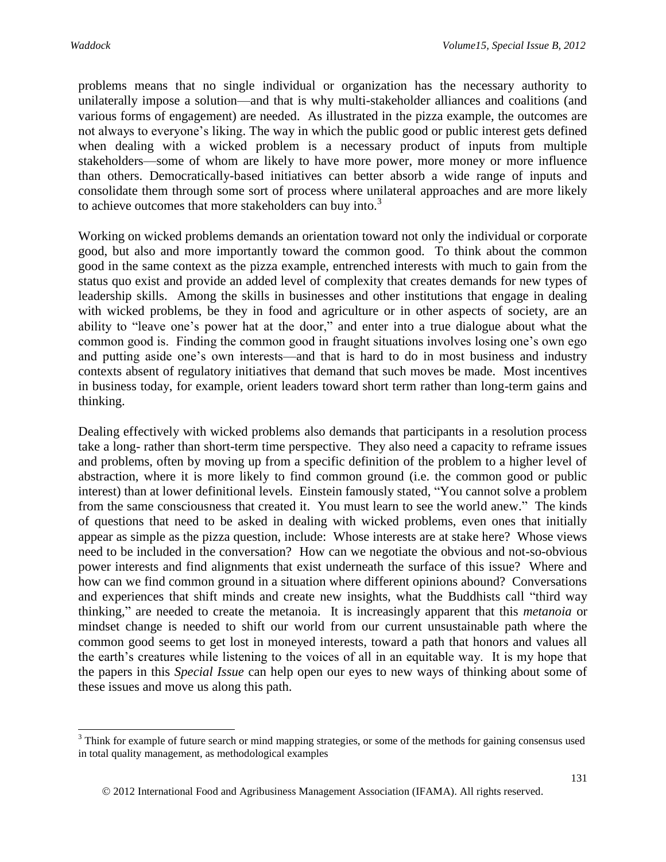$\overline{\phantom{a}}$ 

problems means that no single individual or organization has the necessary authority to unilaterally impose a solution—and that is why multi-stakeholder alliances and coalitions (and various forms of engagement) are needed. As illustrated in the pizza example, the outcomes are not always to everyone's liking. The way in which the public good or public interest gets defined when dealing with a wicked problem is a necessary product of inputs from multiple stakeholders—some of whom are likely to have more power, more money or more influence than others. Democratically-based initiatives can better absorb a wide range of inputs and consolidate them through some sort of process where unilateral approaches and are more likely to achieve outcomes that more stakeholders can buy into.<sup>3</sup>

Working on wicked problems demands an orientation toward not only the individual or corporate good, but also and more importantly toward the common good. To think about the common good in the same context as the pizza example, entrenched interests with much to gain from the status quo exist and provide an added level of complexity that creates demands for new types of leadership skills. Among the skills in businesses and other institutions that engage in dealing with wicked problems, be they in food and agriculture or in other aspects of society, are an ability to "leave one's power hat at the door," and enter into a true dialogue about what the common good is. Finding the common good in fraught situations involves losing one's own ego and putting aside one's own interests—and that is hard to do in most business and industry contexts absent of regulatory initiatives that demand that such moves be made. Most incentives in business today, for example, orient leaders toward short term rather than long-term gains and thinking.

Dealing effectively with wicked problems also demands that participants in a resolution process take a long- rather than short-term time perspective. They also need a capacity to reframe issues and problems, often by moving up from a specific definition of the problem to a higher level of abstraction, where it is more likely to find common ground (i.e. the common good or public interest) than at lower definitional levels. Einstein famously stated, "You cannot solve a problem from the same consciousness that created it. You must learn to see the world anew." The kinds of questions that need to be asked in dealing with wicked problems, even ones that initially appear as simple as the pizza question, include: Whose interests are at stake here? Whose views need to be included in the conversation? How can we negotiate the obvious and not-so-obvious power interests and find alignments that exist underneath the surface of this issue? Where and how can we find common ground in a situation where different opinions abound? Conversations and experiences that shift minds and create new insights, what the Buddhists call "third way thinking," are needed to create the metanoia. It is increasingly apparent that this *metanoia* or mindset change is needed to shift our world from our current unsustainable path where the common good seems to get lost in moneyed interests, toward a path that honors and values all the earth's creatures while listening to the voices of all in an equitable way. It is my hope that the papers in this *Special Issue* can help open our eyes to new ways of thinking about some of these issues and move us along this path.

<sup>&</sup>lt;sup>3</sup> Think for example of future search or mind mapping strategies, or some of the methods for gaining consensus used in total quality management, as methodological examples

2012 International Food and Agribusiness Management Association (IFAMA). All rights reserved.